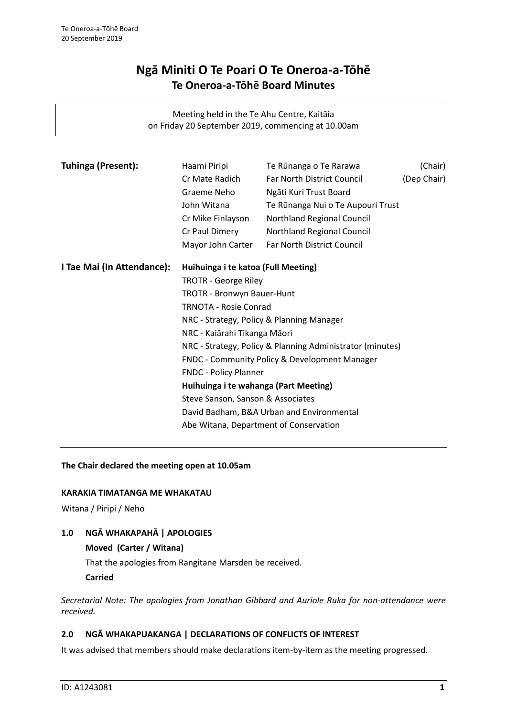# **Ngā Miniti O Te Poari O Te Oneroa-a-Tōhē Te Oneroa-a-Tōhē Board Minutes**

Meeting held in the Te Ahu Centre, Kaitāia on Friday 20 September 2019, commencing at 10.00am

| Tuhinga (Present):         | Haami Piripi                                                                                            | Te Rūnanga o Te Rarawa            | (Chair)     |
|----------------------------|---------------------------------------------------------------------------------------------------------|-----------------------------------|-------------|
|                            | Cr Mate Radich                                                                                          | Far North District Council        | (Dep Chair) |
|                            | Graeme Neho                                                                                             | Ngāti Kuri Trust Board            |             |
|                            | John Witana                                                                                             | Te Rūnanga Nui o Te Aupouri Trust |             |
|                            | Cr Mike Finlayson                                                                                       | Northland Regional Council        |             |
|                            | Cr Paul Dimery                                                                                          | Northland Regional Council        |             |
|                            | Mayor John Carter                                                                                       | Far North District Council        |             |
| I Tae Mai (In Attendance): | Huihuinga i te katoa (Full Meeting)                                                                     |                                   |             |
|                            | <b>TROTR - George Riley</b>                                                                             |                                   |             |
|                            | TROTR - Bronwyn Bauer-Hunt<br><b>TRNOTA - Rosie Conrad</b><br>NRC - Strategy, Policy & Planning Manager |                                   |             |
|                            |                                                                                                         |                                   |             |
|                            |                                                                                                         |                                   |             |
|                            | NRC - Kaiārahi Tikanga Māori                                                                            |                                   |             |
|                            | NRC - Strategy, Policy & Planning Administrator (minutes)                                               |                                   |             |
|                            | FNDC - Community Policy & Development Manager                                                           |                                   |             |
|                            | FNDC - Policy Planner                                                                                   |                                   |             |
|                            | Huihuinga i te wahanga (Part Meeting)                                                                   |                                   |             |
|                            | Steve Sanson, Sanson & Associates                                                                       |                                   |             |
|                            | David Badham, B&A Urban and Environmental                                                               |                                   |             |
|                            | Abe Witana, Department of Conservation                                                                  |                                   |             |

# **The Chair declared the meeting open at 10.05am**

#### **KARAKIA TIMATANGA ME WHAKATAU**

Witana / Piripi / Neho

# **1.0 NGĀ WHAKAPAHĀ | APOLOGIES**

# **Moved (Carter / Witana)**

That the apologies from Rangitane Marsden be received.

**Carried**

*Secretarial Note: The apologies from Jonathan Gibbard and Auriole Ruka for non-attendance were received.*

#### **2.0 NGĀ WHAKAPUAKANGA | DECLARATIONS OF CONFLICTS OF INTEREST**

It was advised that members should make declarations item-by-item as the meeting progressed.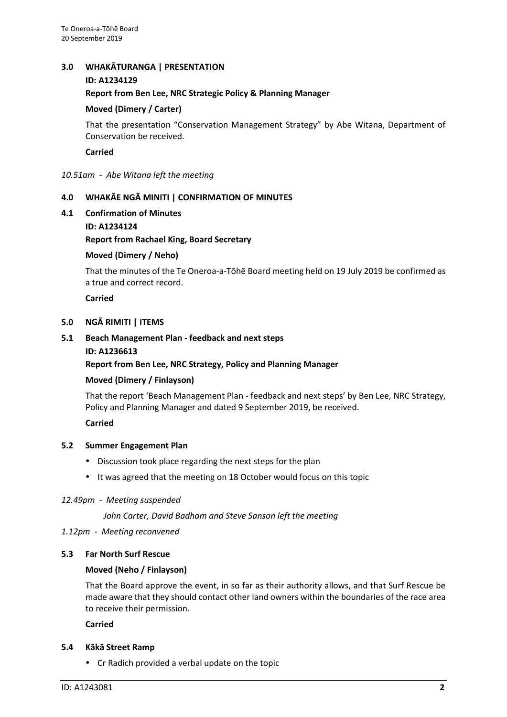#### **3.0 WHAKĀTURANGA | PRESENTATION**

#### **ID: A1234129**

**Report from Ben Lee, NRC Strategic Policy & Planning Manager**

# **Moved (Dimery / Carter)**

That the presentation "Conservation Management Strategy" by Abe Witana, Department of Conservation be received.

**Carried**

*10.51am - Abe Witana left the meeting*

# **4.0 WHAKĀE NGĀ MINITI | CONFIRMATION OF MINUTES**

**4.1 Confirmation of Minutes**

#### **ID: A1234124**

**Report from Rachael King, Board Secretary**

#### **Moved (Dimery / Neho)**

That the minutes of the Te Oneroa-a-Tōhē Board meeting held on 19 July 2019 be confirmed as a true and correct record.

#### **Carried**

#### **5.0 NGĀ RIMITI | ITEMS**

**5.1 Beach Management Plan - feedback and next steps ID: A1236613**

#### **Report from Ben Lee, NRC Strategy, Policy and Planning Manager**

#### **Moved (Dimery / Finlayson)**

That the report 'Beach Management Plan - feedback and next steps' by Ben Lee, NRC Strategy, Policy and Planning Manager and dated 9 September 2019, be received.

#### **Carried**

#### **5.2 Summer Engagement Plan**

- Discussion took place regarding the next steps for the plan
- It was agreed that the meeting on 18 October would focus on this topic

#### *12.49pm - Meeting suspended*

*John Carter, David Badham and Steve Sanson left the meeting*

*1.12pm - Meeting reconvened*

#### **5.3 Far North Surf Rescue**

#### **Moved (Neho / Finlayson)**

That the Board approve the event, in so far as their authority allows, and that Surf Rescue be made aware that they should contact other land owners within the boundaries of the race area to receive their permission.

#### **Carried**

#### **5.4 Kākā Street Ramp**

Cr Radich provided a verbal update on the topic